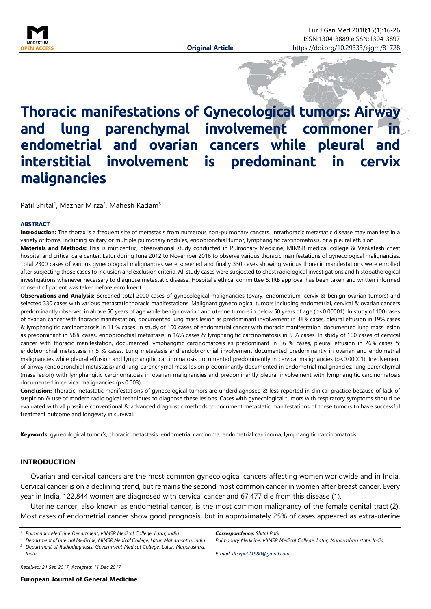

# **Thoracic manifestations of Gynecological tumors: Airway**  and lung parenchymal involvement commoner **endometrial and ovarian cancers while pleural and interstitial involvement is predominant in cervix malignancies**

Patil Shital<sup>1</sup>, Mazhar Mirza<sup>2</sup>, Mahesh Kadam<sup>3</sup>

#### <span id="page-0-0"></span>**ABSTRACT**

**Introduction:** The thorax is a frequent site of metastasis from numerous non-pulmonary cancers. Intrathoracic metastatic disease may manifest in a variety of forms, including solitary or multiple pulmonary nodules, endobronchial tumor, lymphangitic carcinomatosis, or a pleural effusion. **Materials and Methods:** This is muticentric, observational study conducted in Pulmonary Medicine, MIMSR medical college & Venkatesh chest hospital and critical care center, Latur during June 2012 to November 2016 to observe various thoracic manifestations of gynecological malignancies. Total 2300 cases of various gynecological malignancies were screened and finally 330 cases showing various thoracic manifestations were enrolled after subjecting those cases to inclusion and exclusion criteria. All study cases were subjected to chest radiological investigations and histopathological investigations whenever necessary to diagnose metastatic disease. Hospital's ethical committee & IRB approval has been taken and written informed consent of patient was taken before enrollment.

**Observations and Analysis:** Screened total 2000 cases of gynecological malignancies (ovary, endometrium, cervix & benign ovarian tumors) and selected 330 cases with various metastatic thoracic manifestations. Malignant gynecological tumors including endometrial, cervical & ovarian cancers predominantly observed in above 50 years of age while benign ovarian and uterine tumors in below 50 years of age (p<0.00001). In study of 100 cases of ovarian cancer with thoracic manifestation, documented lung mass lesion as predominant involvement in 38% cases, pleural effusion in 19% cases & lymphangitic carcinomatosis in 11 % cases. In study of 100 cases of endometrial cancer with thoracic manifestation, documented lung mass lesion as predominant in 58% cases, endobronchial metastasis in 16% cases & lymphangitic carcinomatosis in 6 % cases. In study of 100 cases of cervical cancer with thoracic manifestation, documented lymphangitic carcinomatosis as predominant in 36 % cases, pleural effusion in 26% cases & endobronchial metastasis in 5 % cases. Lung metastasis and endobronchial involvement documented predominantly in ovarian and endometrial malignancies while pleural effusion and lymphangitic carcinomatosis documented predominantly in cervical malignancies (p<0.00001). Involvement of airway (endobronchial metastasis) and lung parenchymal mass lesion predominantly documented in endometrial malignancies; lung parenchymal (mass lesion) with lymphangitic carcinomatosis in ovarian malignancies and predominantly pleural involvement with lymphangitic carcinomatosis documented in cervical malignancies (p<0.003).

**Conclusion:** Thoracic metastatic manifestations of gynecological tumors are underdiagnosed & less reported in clinical practice because of lack of suspicion & use of modern radiological techniques to diagnose these lesions. Cases with gynecological tumors with respiratory symptoms should be evaluated with all possible conventional & advanced diagnostic methods to document metastatic manifestations of these tumors to have successful treatment outcome and longevity in survival.

**Keywords:** gynecological tumor's, thoracic metastasis, endometrial carcinoma, endometrial carcinoma, lymphangitic carcinomatosis

## **INTRODUCTION**

Ovarian and cervical cancers are the most common gynecological cancers affecting women worldwide and in India. Cervical cancer is on a declining trend, but remains the second most common cancer in women after breast cancer. Every year in India, 122,844 women are diagnosed with cervical cancer and 67,477 die from this disease (1).

Uterine cancer, also known as endometrial cancer, is the most common malignancy of the female genital tract (2). Most cases of endometrial cancer show good prognosis, but in approximately 25% of cases appeared as extra-uterine

*Received: 21 Sep 2017, Accepted: 11 Dec 2017*

*Correspondence: Shital Patil Pulmonary Medicine, MIMSR Medical College, Latur, Maharashtra state, India*

*E-mail: drsvpatil1980@gmail.com*

*<sup>1</sup> Pulmonary Medicine Department, MIMSR Medical College, Latur, India*

*<sup>2</sup> Department of Internal Medicine, MIMSR Medical College, Latur, Maharashtra, India <sup>3</sup> Department of Radiodiagnosis, Government Medical College, Latur, Maharashtra, India*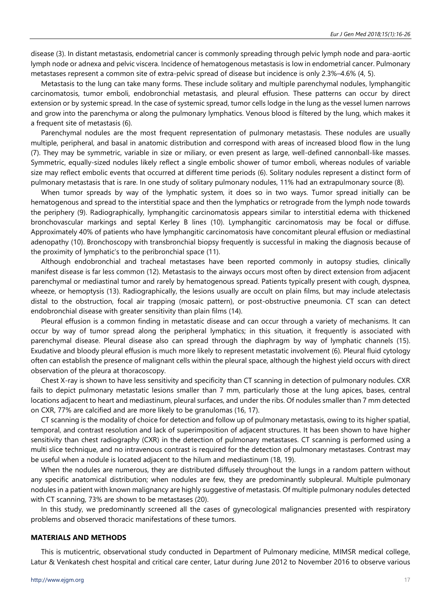disease (3). In distant metastasis, endometrial cancer is commonly spreading through pelvic lymph node and para-aortic lymph node or adnexa and pelvic viscera. Incidence of hematogenous metastasis is low in endometrial cancer. Pulmonary metastases represent a common site of extra-pelvic spread of disease but incidence is only 2.3%–4.6% (4, 5).

Metastasis to the lung can take many forms. These include solitary and multiple parenchymal nodules, lymphangitic carcinomatosis, tumor emboli, endobronchial metastasis, and pleural effusion. These patterns can occur by direct extension or by systemic spread. In the case of systemic spread, tumor cells lodge in the lung as the vessel lumen narrows and grow into the parenchyma or along the pulmonary lymphatics. Venous blood is filtered by the lung, which makes it a frequent site of metastasis (6).

Parenchymal nodules are the most frequent representation of pulmonary metastasis. These nodules are usually multiple, peripheral, and basal in anatomic distribution and correspond with areas of increased blood flow in the lung (7). They may be symmetric, variable in size or miliary, or even present as large, well-defined cannonball-like masses. Symmetric, equally-sized nodules likely reflect a single embolic shower of tumor emboli, whereas nodules of variable size may reflect embolic events that occurred at different time periods (6). Solitary nodules represent a distinct form of pulmonary metastasis that is rare. In one study of solitary pulmonary nodules, 11% had an extrapulmonary source (8).

When tumor spreads by way of the lymphatic system, it does so in two ways. Tumor spread initially can be hematogenous and spread to the interstitial space and then the lymphatics or retrograde from the lymph node towards the periphery (9). Radiographically, lymphangitic carcinomatosis appears similar to interstitial edema with thickened bronchovascular markings and septal Kerley B lines (10). Lymphangitic carcinomatosis may be focal or diffuse. Approximately 40% of patients who have lymphangitic carcinomatosis have concomitant pleural effusion or mediastinal adenopathy (10). Bronchoscopy with transbronchial biopsy frequently is successful in making the diagnosis because of the proximity of lymphatic's to the peribronchial space (11).

Although endobronchial and tracheal metastases have been reported commonly in autopsy studies, clinically manifest disease is far less common (12). Metastasis to the airways occurs most often by direct extension from adjacent parenchymal or mediastinal tumor and rarely by hematogenous spread. Patients typically present with cough, dyspnea, wheeze, or hemoptysis (13). Radiographically, the lesions usually are occult on plain films, but may include atelectasis distal to the obstruction, focal air trapping (mosaic pattern), or post-obstructive pneumonia. CT scan can detect endobronchial disease with greater sensitivity than plain films (14).

Pleural effusion is a common finding in metastatic disease and can occur through a variety of mechanisms. It can occur by way of tumor spread along the peripheral lymphatics; in this situation, it frequently is associated with parenchymal disease. Pleural disease also can spread through the diaphragm by way of lymphatic channels (15). Exudative and bloody pleural effusion is much more likely to represent metastatic involvement (6). Pleural fluid cytology often can establish the presence of malignant cells within the pleural space, although the highest yield occurs with direct observation of the pleura at thoracoscopy.

Chest X-ray is shown to have less sensitivity and specificity than CT scanning in detection of pulmonary nodules. CXR fails to depict pulmonary metastatic lesions smaller than 7 mm, particularly those at the lung apices, bases, central locations adjacent to heart and mediastinum, pleural surfaces, and under the ribs. Of nodules smaller than 7 mm detected on CXR, 77% are calcified and are more likely to be granulomas (16, 17).

CT scanning is the modality of choice for detection and follow up of pulmonary metastasis, owing to its higher spatial, temporal, and contrast resolution and lack of superimposition of adjacent structures. It has been shown to have higher sensitivity than chest radiography (CXR) in the detection of pulmonary metastases. CT scanning is performed using a multi slice technique, and no intravenous contrast is required for the detection of pulmonary metastases. Contrast may be useful when a nodule is located adjacent to the hilum and mediastinum (18, 19).

When the nodules are numerous, they are distributed diffusely throughout the lungs in a random pattern without any specific anatomical distribution; when nodules are few, they are predominantly subpleural. Multiple pulmonary nodules in a patient with known malignancy are highly suggestive of metastasis. Of multiple pulmonary nodules detected with CT scanning, 73% are shown to be metastases (20).

In this study, we predominantly screened all the cases of gynecological malignancies presented with respiratory problems and observed thoracic manifestations of these tumors.

#### **MATERIALS AND METHODS**

This is muticentric, observational study conducted in Department of Pulmonary medicine, MIMSR medical college, Latur & Venkatesh chest hospital and critical care center, Latur during June 2012 to November 2016 to observe various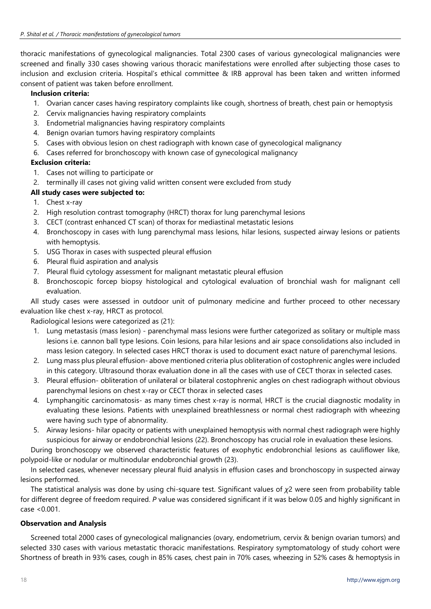thoracic manifestations of gynecological malignancies. Total 2300 cases of various gynecological malignancies were screened and finally 330 cases showing various thoracic manifestations were enrolled after subjecting those cases to inclusion and exclusion criteria. Hospital's ethical committee & IRB approval has been taken and written informed consent of patient was taken before enrollment.

# **Inclusion criteria:**

- 1. Ovarian cancer cases having respiratory complaints like cough, shortness of breath, chest pain or hemoptysis
- 2. Cervix malignancies having respiratory complaints
- 3. Endometrial malignancies having respiratory complaints
- 4. Benign ovarian tumors having respiratory complaints
- 5. Cases with obvious lesion on chest radiograph with known case of gynecological malignancy
- 6. Cases referred for bronchoscopy with known case of gynecological malignancy

# **Exclusion criteria:**

- 1. Cases not willing to participate or
- 2. terminally ill cases not giving valid written consent were excluded from study

# **All study cases were subjected to:**

- 1. Chest x-ray
- 2. High resolution contrast tomography (HRCT) thorax for lung parenchymal lesions
- 3. CECT (contrast enhanced CT scan) of thorax for mediastinal metastatic lesions
- 4. Bronchoscopy in cases with lung parenchymal mass lesions, hilar lesions, suspected airway lesions or patients with hemoptysis.
- 5. USG Thorax in cases with suspected pleural effusion
- 6. Pleural fluid aspiration and analysis
- 7. Pleural fluid cytology assessment for malignant metastatic pleural effusion
- 8. Bronchoscopic forcep biopsy histological and cytological evaluation of bronchial wash for malignant cell evaluation.

All study cases were assessed in outdoor unit of pulmonary medicine and further proceed to other necessary evaluation like chest x-ray, HRCT as protocol.

Radiological lesions were categorized as (21):

- 1. Lung metastasis (mass lesion) parenchymal mass lesions were further categorized as solitary or multiple mass lesions i.e. cannon ball type lesions. Coin lesions, para hilar lesions and air space consolidations also included in mass lesion category. In selected cases HRCT thorax is used to document exact nature of parenchymal lesions.
- 2. Lung mass plus pleural effusion- above mentioned criteria plus obliteration of costophrenic angles were included in this category. Ultrasound thorax evaluation done in all the cases with use of CECT thorax in selected cases.
- 3. Pleural effusion- obliteration of unilateral or bilateral costophrenic angles on chest radiograph without obvious parenchymal lesions on chest x-ray or CECT thorax in selected cases
- 4. Lymphangitic carcinomatosis- as many times chest x-ray is normal, HRCT is the crucial diagnostic modality in evaluating these lesions. Patients with unexplained breathlessness or normal chest radiograph with wheezing were having such type of abnormality.
- 5. Airway lesions- hilar opacity or patients with unexplained hemoptysis with normal chest radiograph were highly suspicious for airway or endobronchial lesions (22). Bronchoscopy has crucial role in evaluation these lesions.

During bronchoscopy we observed characteristic features of exophytic endobronchial lesions as cauliflower like, polypoid-like or nodular or multinodular endobronchial growth (23).

In selected cases, whenever necessary pleural fluid analysis in effusion cases and bronchoscopy in suspected airway lesions performed.

The statistical analysis was done by using chi-square test. Significant values of *χ*2 were seen from probability table for different degree of freedom required. *P* value was considered significant if it was below 0.05 and highly significant in case <0.001.

# **Observation and Analysis**

Screened total 2000 cases of gynecological malignancies (ovary, endometrium, cervix & benign ovarian tumors) and selected 330 cases with various metastatic thoracic manifestations. Respiratory symptomatology of study cohort were Shortness of breath in 93% cases, cough in 85% cases, chest pain in 70% cases, wheezing in 52% cases & hemoptysis in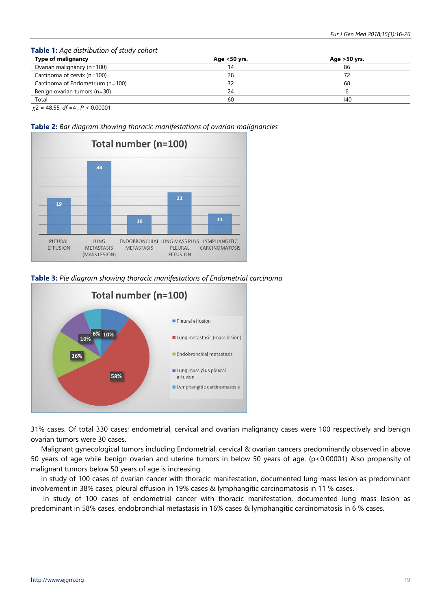#### **Table 1:** *Age distribution of study cohort*

| <b>Type of malignancy</b>        | Age $<$ 50 yrs. | Age $>50$ yrs. |
|----------------------------------|-----------------|----------------|
| Ovarian malignancy (n=100)       | 14              | 86             |
| Carcinoma of cervix (n=100)      | 28              | 72             |
| Carcinoma of Endometrium (n=100) |                 | 68             |
| Benign ovarian tumors (n=30)     | 24              |                |
| Total                            | 60              | 140            |

*χ*2 = 48.55, *df* =4 , *P* < 0.00001

**Table 2:** *Bar diagram showing thoracic manifestations of ovarian malignancies*



**Table 3:** *Pie diagram showing thoracic manifestations of Endometrial carcinoma*



31% cases. Of total 330 cases; endometrial, cervical and ovarian malignancy cases were 100 respectively and benign ovarian tumors were 30 cases.

Malignant gynecological tumors including Endometrial, cervical & ovarian cancers predominantly observed in above 50 years of age while benign ovarian and uterine tumors in below 50 years of age. (p<0.00001) Also propensity of malignant tumors below 50 years of age is increasing.

In study of 100 cases of ovarian cancer with thoracic manifestation, documented lung mass lesion as predominant involvement in 38% cases, pleural effusion in 19% cases & lymphangitic carcinomatosis in 11 % cases.

In study of 100 cases of endometrial cancer with thoracic manifestation, documented lung mass lesion as predominant in 58% cases, endobronchial metastasis in 16% cases & lymphangitic carcinomatosis in 6 % cases.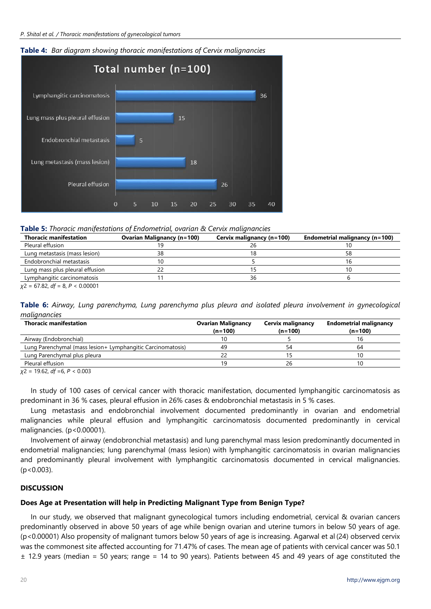



**Table 5:** *Thoracic manifestations of Endometrial, ovarian & Cervix malignancies*

| <b>Thoracic manifestation</b>   | <b>Ovarian Malignancy (n=100)</b> | Cervix malignancy (n=100) | Endometrial malignancy (n=100) |
|---------------------------------|-----------------------------------|---------------------------|--------------------------------|
| Pleural effusion                |                                   |                           |                                |
| Lung metastasis (mass lesion)   |                                   |                           | 58                             |
| Endobronchial metastasis        |                                   |                           |                                |
| Lung mass plus pleural effusion |                                   |                           |                                |
| Lymphangitic carcinomatosis     |                                   |                           |                                |
|                                 |                                   |                           |                                |

*χ*2 = 67.82, *df* = 8, *P* < 0.00001

**Table 6:** *Airway, Lung parenchyma, Lung parenchyma plus pleura and isolated pleura involvement in gynecological malignancies*

| <b>Thoracic manifestation</b>                                | <b>Ovarian Malignancy</b><br>$(n=100)$ | Cervix malignancy<br>$(n=100)$ | <b>Endometrial malignancy</b><br>$(n=100)$ |
|--------------------------------------------------------------|----------------------------------------|--------------------------------|--------------------------------------------|
| Airway (Endobronchial)                                       | 10                                     |                                | ۱b                                         |
| Lung Parenchymal (mass lesion + Lymphangitic Carcinomatosis) | 49                                     |                                | 64                                         |
| Lung Parenchymal plus pleura                                 |                                        |                                |                                            |
| Pleural effusion                                             | 19                                     |                                |                                            |

*χ*2 = 19.62, *df* =6, *P* < 0.003

In study of 100 cases of cervical cancer with thoracic manifestation, documented lymphangitic carcinomatosis as predominant in 36 % cases, pleural effusion in 26% cases & endobronchial metastasis in 5 % cases.

Lung metastasis and endobronchial involvement documented predominantly in ovarian and endometrial malignancies while pleural effusion and lymphangitic carcinomatosis documented predominantly in cervical malignancies. (p<0.00001).

Involvement of airway (endobronchial metastasis) and lung parenchymal mass lesion predominantly documented in endometrial malignancies; lung parenchymal (mass lesion) with lymphangitic carcinomatosis in ovarian malignancies and predominantly pleural involvement with lymphangitic carcinomatosis documented in cervical malignancies. (p<0.003).

## **DISCUSSION**

# **Does Age at Presentation will help in Predicting Malignant Type from Benign Type?**

In our study, we observed that malignant gynecological tumors including endometrial, cervical & ovarian cancers predominantly observed in above 50 years of age while benign ovarian and uterine tumors in below 50 years of age. (p<0.00001) Also propensity of malignant tumors below 50 years of age is increasing. Agarwal et al (24) observed cervix was the commonest site affected accounting for 71.47% of cases. The mean age of patients with cervical cancer was 50.1 ± 12.9 years (median = 50 years; range = 14 to 90 years). Patients between 45 and 49 years of age constituted the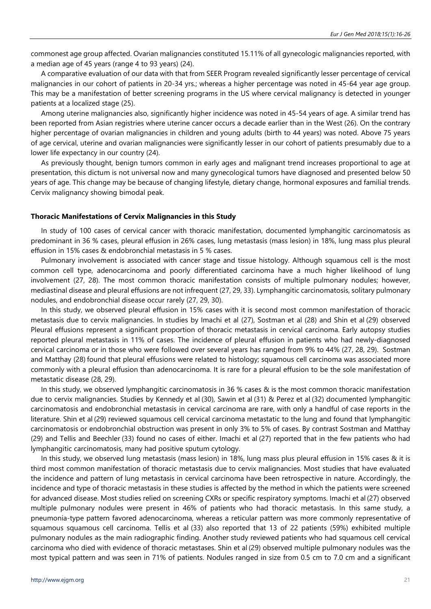commonest age group affected. Ovarian malignancies constituted 15.11% of all gynecologic malignancies reported, with a median age of 45 years (range 4 to 93 years) (24).

A comparative evaluation of our data with that from SEER Program revealed significantly lesser percentage of cervical malignancies in our cohort of patients in 20-34 yrs.; whereas a higher percentage was noted in 45-64 year age group. This may be a manifestation of better screening programs in the US where cervical malignancy is detected in younger patients at a localized stage (25).

Among uterine malignancies also, significantly higher incidence was noted in 45-54 years of age. A similar trend has been reported from Asian registries where uterine cancer occurs a decade earlier than in the West (26). On the contrary higher percentage of ovarian malignancies in children and young adults (birth to 44 years) was noted. Above 75 years of age cervical, uterine and ovarian malignancies were significantly lesser in our cohort of patients presumably due to a lower life expectancy in our country (24).

As previously thought, benign tumors common in early ages and malignant trend increases proportional to age at presentation, this dictum is not universal now and many gynecological tumors have diagnosed and presented below 50 years of age. This change may be because of changing lifestyle, dietary change, hormonal exposures and familial trends. Cervix malignancy showing bimodal peak.

#### **Thoracic Manifestations of Cervix Malignancies in this Study**

In study of 100 cases of cervical cancer with thoracic manifestation, documented lymphangitic carcinomatosis as predominant in 36 % cases, pleural effusion in 26% cases, lung metastasis (mass lesion) in 18%, lung mass plus pleural effusion in 15% cases & endobronchial metastasis in 5 % cases.

Pulmonary involvement is associated with cancer stage and tissue histology. Although squamous cell is the most common cell type, adenocarcinoma and poorly differentiated carcinoma have a much higher likelihood of lung involvement (27, 28). The most common thoracic manifestation consists of multiple pulmonary nodules; however, mediastinal disease and pleural effusions are not infrequent (27, 29, 33). Lymphangitic carcinomatosis, solitary pulmonary nodules, and endobronchial disease occur rarely (27, 29, 30).

In this study, we observed pleural effusion in 15% cases with it is second most common manifestation of thoracic metastasis due to cervix malignancies. In studies by Imachi et al (27), Sostman et al (28) and Shin et al (29) observed Pleural effusions represent a significant proportion of thoracic metastasis in cervical carcinoma. Early autopsy studies reported pleural metastasis in 11% of cases. The incidence of pleural effusion in patients who had newly-diagnosed cervical carcinoma or in those who were followed over several years has ranged from 9% to 44% (27, 28, 29). Sostman and Matthay (28) found that pleural effusions were related to histology; squamous cell carcinoma was associated more commonly with a pleural effusion than adenocarcinoma. It is rare for a pleural effusion to be the sole manifestation of metastatic disease (28, 29).

In this study, we observed lymphangitic carcinomatosis in 36 % cases & is the most common thoracic manifestation due to cervix malignancies. Studies by Kennedy et al (30), Sawin et al (31) & Perez et al (32) documented lymphangitic carcinomatosis and endobronchial metastasis in cervical carcinoma are rare, with only a handful of case reports in the literature. Shin et al (29) reviewed squamous cell cervical carcinoma metastatic to the lung and found that lymphangitic carcinomatosis or endobronchial obstruction was present in only 3% to 5% of cases. By contrast Sostman and Matthay (29) and Tellis and Beechler (33) found no cases of either. Imachi et al (27) reported that in the few patients who had lymphangitic carcinomatosis, many had positive sputum cytology.

In this study, we observed lung metastasis (mass lesion) in 18%, lung mass plus pleural effusion in 15% cases & it is third most common manifestation of thoracic metastasis due to cervix malignancies. Most studies that have evaluated the incidence and pattern of lung metastasis in cervical carcinoma have been retrospective in nature. Accordingly, the incidence and type of thoracic metastasis in these studies is affected by the method in which the patients were screened for advanced disease. Most studies relied on screening CXRs or specific respiratory symptoms. Imachi et al (27) observed multiple pulmonary nodules were present in 46% of patients who had thoracic metastasis. In this same study, a pneumonia-type pattern favored adenocarcinoma, whereas a reticular pattern was more commonly representative of squamous squamous cell carcinoma. Tellis et al (33) also reported that 13 of 22 patients (59%) exhibited multiple pulmonary nodules as the main radiographic finding. Another study reviewed patients who had squamous cell cervical carcinoma who died with evidence of thoracic metastases. Shin et al (29) observed multiple pulmonary nodules was the most typical pattern and was seen in 71% of patients. Nodules ranged in size from 0.5 cm to 7.0 cm and a significant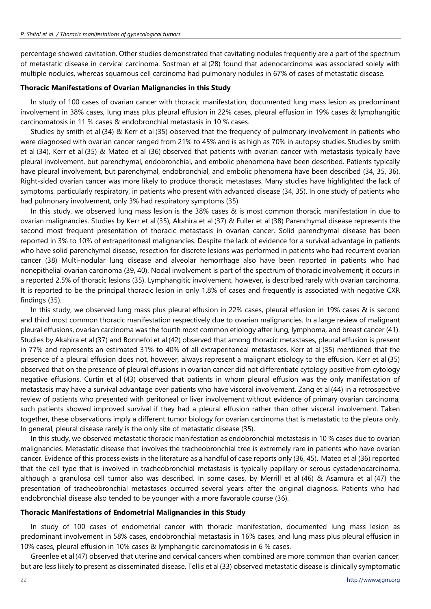percentage showed cavitation. Other studies demonstrated that cavitating nodules frequently are a part of the spectrum of metastatic disease in cervical carcinoma. Sostman et al (28) found that adenocarcinoma was associated solely with multiple nodules, whereas squamous cell carcinoma had pulmonary nodules in 67% of cases of metastatic disease.

## **Thoracic Manifestations of Ovarian Malignancies in this Study**

In study of 100 cases of ovarian cancer with thoracic manifestation, documented lung mass lesion as predominant involvement in 38% cases, lung mass plus pleural effusion in 22% cases, pleural effusion in 19% cases & lymphangitic carcinomatosis in 11 % cases & endobronchial metastasis in 10 % cases.

Studies by smith et al (34) & Kerr et al (35) observed that the frequency of pulmonary involvement in patients who were diagnosed with ovarian cancer ranged from 21% to 45% and is as high as 70% in autopsy studies. Studies by smith et al (34), Kerr et al (35) & Mateo et al (36) observed that patients with ovarian cancer with metastasis typically have pleural involvement, but parenchymal, endobronchial, and embolic phenomena have been described. Patients typically have pleural involvement, but parenchymal, endobronchial, and embolic phenomena have been described (34, 35, 36). Right-sided ovarian cancer was more likely to produce thoracic metastases. Many studies have highlighted the lack of symptoms, particularly respiratory, in patients who present with advanced disease (34, 35). In one study of patients who had pulmonary involvement, only 3% had respiratory symptoms (35).

In this study, we observed lung mass lesion is the 38% cases & is most common thoracic manifestation in due to ovarian malignancies. Studies by Kerr et al (35), Akahira et al (37) & Fuller et al (38) Parenchymal disease represents the second most frequent presentation of thoracic metastasis in ovarian cancer. Solid parenchymal disease has been reported in 3% to 10% of extraperitoneal malignancies. Despite the lack of evidence for a survival advantage in patients who have solid parenchymal disease, resection for discrete lesions was performed in patients who had recurrent ovarian cancer (38) Multi-nodular lung disease and alveolar hemorrhage also have been reported in patients who had nonepithelial ovarian carcinoma (39, 40). Nodal involvement is part of the spectrum of thoracic involvement; it occurs in a reported 2.5% of thoracic lesions (35). Lymphangitic involvement, however, is described rarely with ovarian carcinoma. It is reported to be the principal thoracic lesion in only 1.8% of cases and frequently is associated with negative CXR findings (35).

In this study, we observed lung mass plus pleural effusion in 22% cases, pleural effusion in 19% cases & is second and third most common thoracic manifestation respectively due to ovarian malignancies. In a large review of malignant pleural effusions, ovarian carcinoma was the fourth most common etiology after lung, lymphoma, and breast cancer (41). Studies by Akahira et al (37) and Bonnefoi et al (42) observed that among thoracic metastases, pleural effusion is present in 77% and represents an estimated 31% to 40% of all extraperitoneal metastases. Kerr at al (35) mentioned that the presence of a pleural effusion does not, however, always represent a malignant etiology to the effusion. Kerr et al (35) observed that on the presence of pleural effusions in ovarian cancer did not differentiate cytology positive from cytology negative effusions. Curtin et al (43) observed that patients in whom pleural effusion was the only manifestation of metastasis may have a survival advantage over patients who have visceral involvement. Zang et al (44) in a retrospective review of patients who presented with peritoneal or liver involvement without evidence of primary ovarian carcinoma, such patients showed improved survival if they had a pleural effusion rather than other visceral involvement. Taken together, these observations imply a different tumor biology for ovarian carcinoma that is metastatic to the pleura only. In general, pleural disease rarely is the only site of metastatic disease (35).

In this study, we observed metastatic thoracic manifestation as endobronchial metastasis in 10 % cases due to ovarian malignancies. Metastatic disease that involves the tracheobronchial tree is extremely rare in patients who have ovarian cancer. Evidence of this process exists in the literature as a handful of case reports only (36, 45). Mateo et al (36) reported that the cell type that is involved in tracheobronchial metastasis is typically papillary or serous cystadenocarcinoma, although a granulosa cell tumor also was described. In some cases, by Merrill et al (46) & Asamura et al (47) the presentation of tracheobronchial metastases occurred several years after the original diagnosis. Patients who had endobronchial disease also tended to be younger with a more favorable course (36).

## **Thoracic Manifestations of Endometrial Malignancies in this Study**

In study of 100 cases of endometrial cancer with thoracic manifestation, documented lung mass lesion as predominant involvement in 58% cases, endobronchial metastasis in 16% cases, and lung mass plus pleural effusion in 10% cases, pleural effusion in 10% cases & lymphangitic carcinomatosis in 6 % cases.

Greenlee et al (47) observed that uterine and cervical cancers when combined are more common than ovarian cancer, but are less likely to present as disseminated disease. Tellis et al(33) observed metastatic disease is clinically symptomatic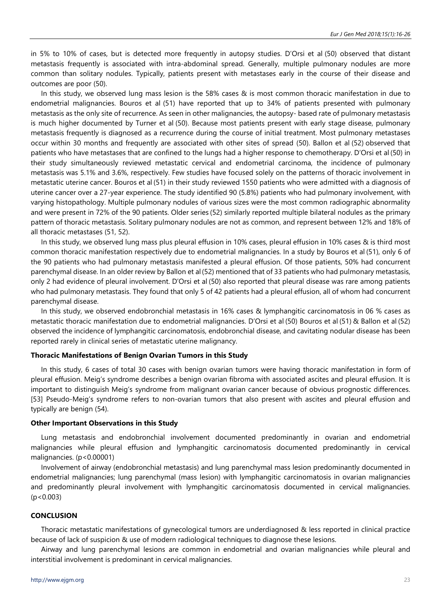in 5% to 10% of cases, but is detected more frequently in autopsy studies. D'Orsi et al (50) observed that distant metastasis frequently is associated with intra-abdominal spread. Generally, multiple pulmonary nodules are more common than solitary nodules. Typically, patients present with metastases early in the course of their disease and outcomes are poor (50).

In this study, we observed lung mass lesion is the 58% cases & is most common thoracic manifestation in due to endometrial malignancies. Bouros et al (51) have reported that up to 34% of patients presented with pulmonary metastasis as the only site of recurrence. As seen in other malignancies, the autopsy- based rate of pulmonary metastasis is much higher documented by Turner et al (50). Because most patients present with early stage disease, pulmonary metastasis frequently is diagnosed as a recurrence during the course of initial treatment. Most pulmonary metastases occur within 30 months and frequently are associated with other sites of spread (50). Ballon et al (52) observed that patients who have metastases that are confined to the lungs had a higher response to chemotherapy. D'Orsi et al (50) in their study simultaneously reviewed metastatic cervical and endometrial carcinoma, the incidence of pulmonary metastasis was 5.1% and 3.6%, respectively. Few studies have focused solely on the patterns of thoracic involvement in metastatic uterine cancer. Bouros et al (51) in their study reviewed 1550 patients who were admitted with a diagnosis of uterine cancer over a 27-year experience. The study identified 90 (5.8%) patients who had pulmonary involvement, with varying histopathology. Multiple pulmonary nodules of various sizes were the most common radiographic abnormality and were present in 72% of the 90 patients. Older series (52) similarly reported multiple bilateral nodules as the primary pattern of thoracic metastasis. Solitary pulmonary nodules are not as common, and represent between 12% and 18% of all thoracic metastases (51, 52).

In this study, we observed lung mass plus pleural effusion in 10% cases, pleural effusion in 10% cases & is third most common thoracic manifestation respectively due to endometrial malignancies. In a study by Bouros et al (51), only 6 of the 90 patients who had pulmonary metastasis manifested a pleural effusion. Of those patients, 50% had concurrent parenchymal disease. In an older review by Ballon et al(52) mentioned that of 33 patients who had pulmonary metastasis, only 2 had evidence of pleural involvement. D'Orsi et al (50) also reported that pleural disease was rare among patients who had pulmonary metastasis. They found that only 5 of 42 patients had a pleural effusion, all of whom had concurrent parenchymal disease.

In this study, we observed endobronchial metastasis in 16% cases & lymphangitic carcinomatosis in 06 % cases as metastatic thoracic manifestation due to endometrial malignancies. D'Orsi et al (50) Bouros et al (51) & Ballon et al (52) observed the incidence of lymphangitic carcinomatosis, endobronchial disease, and cavitating nodular disease has been reported rarely in clinical series of metastatic uterine malignancy.

## **Thoracic Manifestations of Benign Ovarian Tumors in this Study**

In this study, 6 cases of total 30 cases with benign ovarian tumors were having thoracic manifestation in form of pleural effusion. Meig's syndrome describes a benign ovarian fibroma with associated ascites and pleural effusion. It is important to distinguish Meig's syndrome from malignant ovarian cancer because of obvious prognostic differences. [53] Pseudo-Meig's syndrome refers to non-ovarian tumors that also present with ascites and pleural effusion and typically are benign (54).

#### **Other Important Observations in this Study**

Lung metastasis and endobronchial involvement documented predominantly in ovarian and endometrial malignancies while pleural effusion and lymphangitic carcinomatosis documented predominantly in cervical malignancies. (p<0.00001)

Involvement of airway (endobronchial metastasis) and lung parenchymal mass lesion predominantly documented in endometrial malignancies; lung parenchymal (mass lesion) with lymphangitic carcinomatosis in ovarian malignancies and predominantly pleural involvement with lymphangitic carcinomatosis documented in cervical malignancies.  $(p < 0.003)$ 

#### **CONCLUSION**

Thoracic metastatic manifestations of gynecological tumors are underdiagnosed & less reported in clinical practice because of lack of suspicion & use of modern radiological techniques to diagnose these lesions.

Airway and lung parenchymal lesions are common in endometrial and ovarian malignancies while pleural and interstitial involvement is predominant in cervical malignancies.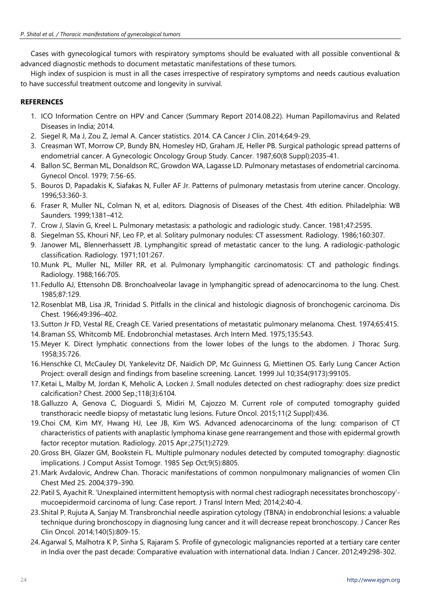Cases with gynecological tumors with respiratory symptoms should be evaluated with all possible conventional & advanced diagnostic methods to document metastatic manifestations of these tumors.

High index of suspicion is must in all the cases irrespective of respiratory symptoms and needs cautious evaluation to have successful treatment outcome and longevity in survival.

# **REFERENCES**

- 1. ICO Information Centre on HPV and Cancer (Summary Report 2014.08.22). Human Papillomavirus and Related Diseases in India; 2014.
- 2. Siegel R, Ma J, Zou Z, Jemal A. Cancer statistics. 2014. CA Cancer J Clin. 2014;64:9-29.
- 3. Creasman WT, Morrow CP, Bundy BN, Homesley HD, Graham JE, Heller PB. Surgical pathologic spread patterns of endometrial cancer. A Gynecologic Oncology Group Study. Cancer. 1987;60(8 Suppl):2035-41.
- 4. Ballon SC, Berman ML, Donaldson RC, Growdon WA, Lagasse LD. Pulmonary metastases of endometrial carcinoma. Gynecol Oncol. 1979; 7:56-65.
- 5. Bouros D, Papadakis K, Siafakas N, Fuller AF Jr. Patterns of pulmonary metastasis from uterine cancer. Oncology. 1996;53:360-3.
- 6. Fraser R, Muller NL, Colman N, et al, editors. Diagnosis of Diseases of the Chest. 4th edition. Philadelphia: WB Saunders. 1999;1381–412.
- 7. Crow J, Slavin G, Kreel L. Pulmonary metastasis: a pathologic and radiologic study. Cancer. 1981;47:2595.
- 8. Siegelman SS, Khouri NF, Leo FP, et al. Solitary pulmonary nodules: CT assessment. Radiology. 1986;160:307.
- 9. Janower ML, Blennerhassett JB. Lymphangitic spread of metastatic cancer to the lung. A radiologic-pathologic classification. Radiology. 1971;101:267.
- 10.Munk PL, Muller NL, Miller RR, et al. Pulmonary lymphangitic carcinomatosis: CT and pathologic findings. Radiology. 1988;166:705.
- 11.Fedullo AJ, Ettensohn DB. Bronchoalveolar lavage in lymphangitic spread of adenocarcinoma to the lung. Chest. 1985;87:129.
- 12.Rosenblat MB, Lisa JR, Trinidad S. Pitfalls in the clinical and histologic diagnosis of bronchogenic carcinoma. Dis Chest. 1966;49:396–402.
- 13.Sutton Jr FD, Vestal RE, Creagh CE. Varied presentations of metastatic pulmonary melanoma. Chest. 1974;65:415.
- 14.Braman SS, Whitcomb ME. Endobronchial metastases. Arch Intern Med. 1975;135:543.
- 15.Meyer K. Direct lymphatic connections from the lower lobes of the lungs to the abdomen. J Thorac Surg. 1958;35:726.
- 16.Henschke CI, McCauley DI, Yankelevitz DF, Naidich DP, Mc Guinness G, Miettinen OS. Early Lung Cancer Action Project: overall design and findings from baseline screening. Lancet. 1999 Jul 10;354(9173):99105.
- 17.Ketai L, Malby M, Jordan K, Meholic A, Locken J. Small nodules detected on chest radiography: does size predict calcification? Chest. 2000 Sep.;118(3):6104.
- 18.Galluzzo A, Genova C, Dioguardi S, Midiri M, Cajozzo M. Current role of computed tomography guided transthoracic needle biopsy of metastatic lung lesions. Future Oncol. 2015;11(2 Suppl):436.
- 19.Choi CM, Kim MY, Hwang HJ, Lee JB, Kim WS. Advanced adenocarcinoma of the lung: comparison of CT characteristics of patients with anaplastic lymphoma kinase gene rearrangement and those with epidermal growth factor receptor mutation. Radiology. 2015 Apr.;275(1):2729.
- 20.Gross BH, Glazer GM, Bookstein FL. Multiple pulmonary nodules detected by computed tomography: diagnostic implications. J Comput Assist Tomogr. 1985 Sep Oct;9(5):8805.
- 21.Mark Avdalovic, Andrew Chan. Thoracic manifestations of common nonpulmonary malignancies of women Clin Chest Med 25. 2004;379–390.
- 22.Patil S, Ayachit R. 'Unexplained intermittent hemoptysis with normal chest radiograph necessitates bronchoscopy' mucoepidermoid carcinoma of lung: Case report. J Transl Intern Med; 2014;2:40-4.
- 23.Shital P, Rujuta A, Sanjay M. Transbronchial needle aspiration cytology (TBNA) in endobronchial lesions: a valuable technique during bronchoscopy in diagnosing lung cancer and it will decrease repeat bronchoscopy. J Cancer Res Clin Oncol. 2014;140(5):809-15.
- 24.Agarwal S, Malhotra K P, Sinha S, Rajaram S. Profile of gynecologic malignancies reported at a tertiary care center in India over the past decade: Comparative evaluation with international data. Indian J Cancer. 2012;49:298-302.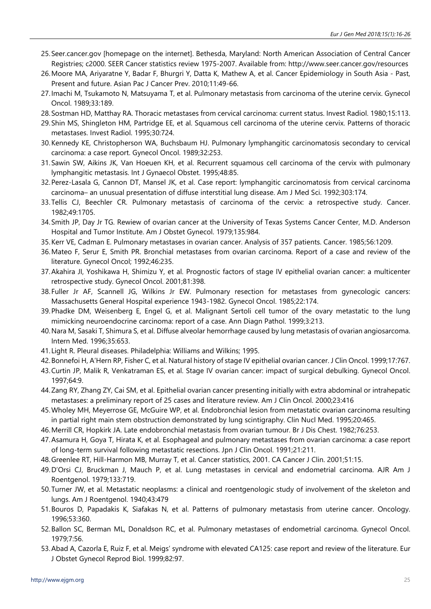- 25.Seer.cancer.gov [homepage on the internet]. Bethesda, Maryland: North American Association of Central Cancer Registries; c2000. SEER Cancer statistics review 1975-2007. Available from: http://www.seer.cancer.gov/resources
- 26.Moore MA, Ariyaratne Y, Badar F, Bhurgri Y, Datta K, Mathew A, et al. Cancer Epidemiology in South Asia Past, Present and future. Asian Pac J Cancer Prev. 2010;11:49-66.
- 27.Imachi M, Tsukamoto N, Matsuyama T, et al. Pulmonary metastasis from carcinoma of the uterine cervix. Gynecol Oncol. 1989;33:189.
- 28.Sostman HD, Matthay RA. Thoracic metastases from cervical carcinoma: current status. Invest Radiol. 1980;15:113.
- 29.Shin MS, Shingleton HM, Partridge EE, et al. Squamous cell carcinoma of the uterine cervix. Patterns of thoracic metastases. Invest Radiol. 1995;30:724.
- 30.Kennedy KE, Christopherson WA, Buchsbaum HJ. Pulmonary lymphangitic carcinomatosis secondary to cervical carcinoma: a case report. Gynecol Oncol. 1989;32:253.
- 31.Sawin SW, Aikins JK, Van Hoeuen KH, et al. Recurrent squamous cell carcinoma of the cervix with pulmonary lymphangitic metastasis. Int J Gynaecol Obstet. 1995;48:85.
- 32.Perez-Lasala G, Cannon DT, Mansel JK, et al. Case report: lymphangitic carcinomatosis from cervical carcinoma carcinoma– an unusual presentation of diffuse interstitial lung disease. Am J Med Sci. 1992;303:174.
- 33.Tellis CJ, Beechler CR. Pulmonary metastasis of carcinoma of the cervix: a retrospective study. Cancer. 1982;49:1705.
- 34.Smith JP, Day Jr TG. Rewiew of ovarian cancer at the University of Texas Systems Cancer Center, M.D. Anderson Hospital and Tumor Institute. Am J Obstet Gynecol. 1979;135:984.
- 35.Kerr VE, Cadman E. Pulmonary metastases in ovarian cancer. Analysis of 357 patients. Cancer. 1985;56:1209.
- 36.Mateo F, Serur E, Smith PR. Bronchial metastases from ovarian carcinoma. Report of a case and review of the literature. Gynecol Oncol; 1992;46:235.
- 37.Akahira JI, Yoshikawa H, Shimizu Y, et al. Prognostic factors of stage IV epithelial ovarian cancer: a multicenter retrospective study. Gynecol Oncol. 2001;81:398.
- 38.Fuller Jr AF, Scannell JG, Wilkins Jr EW. Pulmonary resection for metastases from gynecologic cancers: Massachusetts General Hospital experience 1943-1982. Gynecol Oncol. 1985;22:174.
- 39.Phadke DM, Weisenberg E, Engel G, et al. Malignant Sertoli cell tumor of the ovary metastatic to the lung mimicking neuroendocrine carcinoma: report of a case. Ann Diagn Pathol. 1999;3:213.
- 40.Nara M, Sasaki T, Shimura S, et al. Diffuse alveolar hemorrhage caused by lung metastasis of ovarian angiosarcoma. Intern Med. 1996;35:653.
- 41. Light R. Pleural diseases. Philadelphia: Williams and Wilkins; 1995.
- 42.Bonnefoi H, A'Hern RP, Fisher C, et al. Natural history of stage IV epithelial ovarian cancer. J Clin Oncol. 1999;17:767.
- 43.Curtin JP, Malik R, Venkatraman ES, et al. Stage IV ovarian cancer: impact of surgical debulking. Gynecol Oncol. 1997;64:9.
- 44.Zang RY, Zhang ZY, Cai SM, et al. Epithelial ovarian cancer presenting initially with extra abdominal or intrahepatic metastases: a preliminary report of 25 cases and literature review. Am J Clin Oncol. 2000;23:416
- 45.Wholey MH, Meyerrose GE, McGuire WP, et al. Endobronchial lesion from metastatic ovarian carcinoma resulting in partial right main stem obstruction demonstrated by lung scintigraphy. Clin Nucl Med. 1995;20:465.
- 46.Merrill CR, Hopkirk JA. Late endobronchial metastasis from ovarian tumour. Br J Dis Chest. 1982;76:253.
- 47.Asamura H, Goya T, Hirata K, et al. Esophageal and pulmonary metastases from ovarian carcinoma: a case report of long-term survival following metastatic resections. Jpn J Clin Oncol. 1991;21:211.
- 48.Greenlee RT, Hill-Harmon MB, Murray T, et al. Cancer statistics, 2001. CA Cancer J Clin. 2001;51:15.
- 49.D'Orsi CJ, Bruckman J, Mauch P, et al. Lung metastases in cervical and endometrial carcinoma. AJR Am J Roentgenol. 1979;133:719.
- 50.Turner JW, et al. Metastatic neoplasms: a clinical and roentgenologic study of involvement of the skeleton and lungs. Am J Roentgenol. 1940;43:479
- 51.Bouros D, Papadakis K, Siafakas N, et al. Patterns of pulmonary metastasis from uterine cancer. Oncology. 1996;53:360.
- 52.Ballon SC, Berman ML, Donaldson RC, et al. Pulmonary metastases of endometrial carcinoma. Gynecol Oncol. 1979;7:56.
- 53.Abad A, Cazorla E, Ruiz F, et al. Meigs' syndrome with elevated CA125: case report and review of the literature. Eur J Obstet Gynecol Reprod Biol. 1999;82:97.